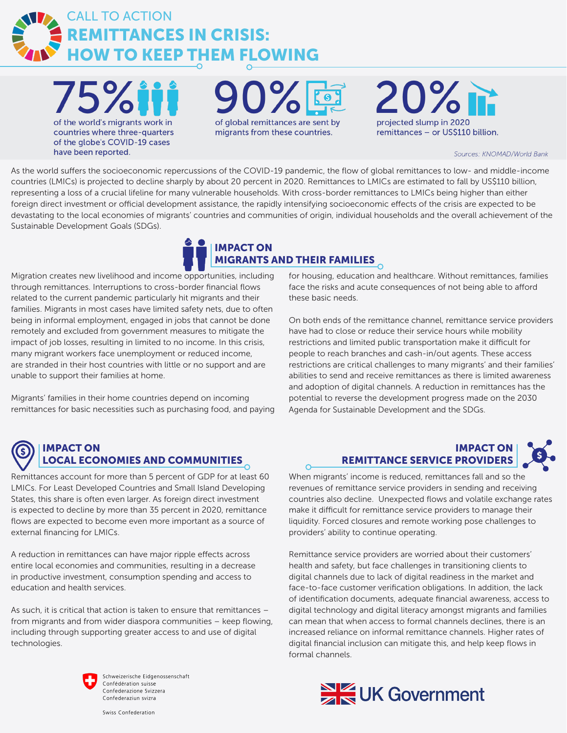

 $15\%$ of the world's migrants work in countries where three-quarters of the globe's COVID-19 cases have been reported.

of global remittances are sent by migrants from these countries.

 $20\%$ projected slump in 2020 remittances - or US\$110 billion.

Sources: KNOMAD/World Bank

As the world suffers the socioeconomic repercussions of the COVID-19 pandemic, the flow of global remittances to low- and middle-income countries (LMICs) is projected to decline sharply by about 20 percent in 2020. Remittances to LMICs are estimated to fall by US\$110 billion, representing a loss of a crucial lifeline for many vulnerable households. With cross-border remittances to LMICs being higher than either foreign direct investment or official development assistance, the rapidly intensifying socioeconomic effects of the crisis are expected to be devastating to the local economies of migrants' countries and communities of origin, individual households and the overall achievement of the Sustainable Development Goals (SDGs).

## IMPACT ON MIGRANTS AND THEIR FAMILIES

 $\overline{O}$ 

Migration creates new livelihood and income opportunities, including through remittances. Interruptions to cross-border financial flows related to the current pandemic particularly hit migrants and their families. Migrants in most cases have limited safety nets, due to often being in informal employment, engaged in jobs that cannot be done remotely and excluded from government measures to mitigate the impact of job losses, resulting in limited to no income. In this crisis, many migrant workers face unemployment or reduced income, are stranded in their host countries with little or no support and are unable to support their families at home.

Migrants' families in their home countries depend on incoming remittances for basic necessities such as purchasing food, and paying for housing, education and healthcare. Without remittances, families face the risks and acute consequences of not being able to afford these basic needs.

On both ends of the remittance channel, remittance service providers have had to close or reduce their service hours while mobility restrictions and limited public transportation make it difficult for people to reach branches and cash-in/out agents. These access restrictions are critical challenges to many migrants' and their families' abilities to send and receive remittances as there is limited awareness and adoption of digital channels. A reduction in remittances has the potential to reverse the development progress made on the 2030 Agenda for Sustainable Development and the SDGs.

## IMPACT ON LOCAL ECONOMIES AND COMMUNITIES

Remittances account for more than 5 percent of GDP for at least 60 LMICs. For Least Developed Countries and Small Island Developing States, this share is often even larger. As foreign direct investment is expected to decline by more than 35 percent in 2020, remittance flows are expected to become even more important as a source of external financing for LMICs.

A reduction in remittances can have major ripple effects across entire local economies and communities, resulting in a decrease in productive investment, consumption spending and access to education and health services.

As such, it is critical that action is taken to ensure that remittances – from migrants and from wider diaspora communities – keep flowing, including through supporting greater access to and use of digital technologies.



Schweizerische Eidgenossenschaft Confédération suisse Confederazione Svizzera Confederaziun svizra

## IMPACT ON REMITTANCE SERVICE PROVIDERS

When migrants' income is reduced, remittances fall and so the revenues of remittance service providers in sending and receiving countries also decline. Unexpected flows and volatile exchange rates make it difficult for remittance service providers to manage their liquidity. Forced closures and remote working pose challenges to providers' ability to continue operating.

Remittance service providers are worried about their customers' health and safety, but face challenges in transitioning clients to digital channels due to lack of digital readiness in the market and face-to-face customer verification obligations. In addition, the lack of identification documents, adequate financial awareness, access to digital technology and digital literacy amongst migrants and families can mean that when access to formal channels declines, there is an increased reliance on informal remittance channels. Higher rates of digital financial inclusion can mitigate this, and help keep flows in formal channels.



Swiss Confederation